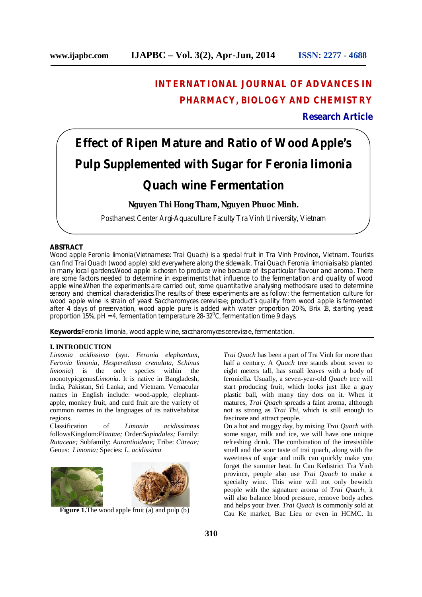# **INTERNATIONAL JOURNAL OF ADVANCES IN PHARMACY, BIOLOGY AND CHEMISTRY**

**Research Article**

# **Effect of Ripen Mature and Ratio of Wood Apple's Pulp Supplemented with Sugar for** *Feronia limonia*

# *Quach* **wine Fermentation**

# **Nguyen Thi Hong Tham, Nguyen Phuoc Minh.**

Postharvest Center Argi-Aquaculture Faculty Tra Vinh University, Vietnam

# **ABSTRACT**

Wood apple *Feronia limonia*(Vietnamese: Trai Quach) is a special fruit in Tra Vinh Province**,** Vietnam. Tourists can find *Trai Quach* (wood apple) sold everywhere along the sidewalk. *Trai Quach Feronia limonia*is also planted in many local gardens.Wood apple is chosen to produce wine because of its particular flavour and aroma. There are some factors needed to determine in experiments that influence to the fermentation and quality of wood apple wine.When the experiments are carried out, some quantitative analysing methodsare used to determine sensory and chemical characteristics.The results of these experiments are as follow: the fermentation culture for wood apple wine is strain of yeast *Saccharomyces cerevisae*; product's quality from wood apple is fermented after 4 days of preservation, wood apple pure is added with water proportion 20%, Brix 18, starting yeast proportion 1.5%, pH = 4, fermentation temperature 28-32<sup>o</sup>C, fermentation time 9 days.

*Keywords:Feronia limonia, wood apple wine, saccharomyces cerevisae, fermentation.*

#### **I. INTRODUCTION**

*Limonia acidissima* (syn. *Feronia elephantum*, *Feronia limonia*, *Hesperethusa crenulata*, *Schinus limonia*) is the only species within the monotypicgenus*Limonia*. It is native in Bangladesh, India, Pakistan, Sri Lanka, and Vietnam. Vernacular names in English include: wood-apple, elephantapple, monkey fruit, and curd fruit are the variety of common names in the languages of its nativehabitat regions.

Classification of *Limonia acidissima*as followsKingdom:*Plantae;* Order:*Sapindales;* Family: *Rutaceae;* Subfamily: *Aurantioideae;* Tribe: *Citreae;*  Genus: *Limonia;* Species: *L. acidissima*



**Figure 1.**The wood apple fruit (a) and pulp (b)

*Trai Quach* has been a part of Tra Vinh for more than half a century. A *Quach* tree stands about seven to eight meters tall, has small leaves with a body of feroniella. Usually, a seven-year-old *Quach* tree will start producing fruit, which looks just like a gray plastic ball, with many tiny dots on it. When it matures, *Trai Quach* spreads a faint aroma, although not as strong as *Trai Thi*, which is still enough to fascinate and attract people.

On a hot and muggy day, by mixing *Trai Quach* with some sugar, milk and ice, we will have one unique refreshing drink. The combination of the irresistible smell and the sour taste of trai quach, along with the sweetness of sugar and milk can quickly make you forget the summer heat. In Cau Kedistrict Tra Vinh province, people also use *Trai Quach* to make a specialty wine. This wine will not only bewitch people with the signature aroma of *Trai Quach*, it will also balance blood pressure, remove body aches and helps your liver. *Trai Quach* is commonly sold at Cau Ke market, Bac Lieu or even in HCMC. In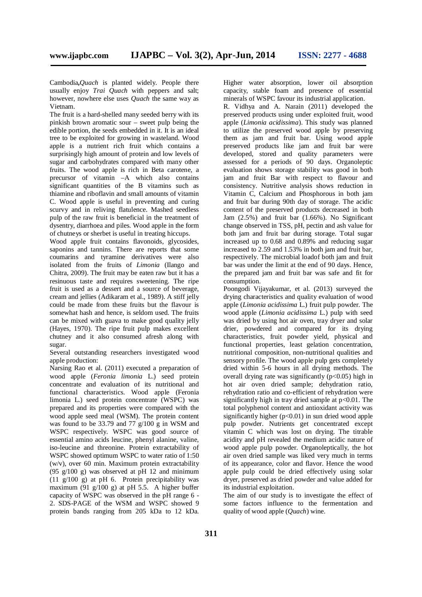Cambodia**,***Quach* is planted widely. People there usually enjoy *Trai Quach* with peppers and salt; however, nowhere else uses *Quach* the same way as Vietnam.

The fruit is a hard-shelled many seeded berry with its pinkish brown aromatic sour – sweet pulp being the edible portion, the seeds embedded in it. It is an ideal tree to be exploited for growing in wasteland. Wood apple is a nutrient rich fruit which contains a surprisingly high amount of protein and low levels of sugar and carbohydrates compared with many other fruits. The wood apple is rich in Beta carotene, a precursor of vitamin –A which also contains significant quantities of the B vitamins such as thiamine and riboflavin and small amounts of vitamin C. Wood apple is useful in preventing and curing scurvy and in reliving flatulence. Mashed seedless pulp of the raw fruit is beneficial in the treatment of dysentry, diarrhoea and piles. Wood apple in the form of chutneys or sherbet is useful in treating hiccups.

Wood apple fruit contains flavonoids, glycosides, saponins and tannins. There are reports that some coumarins and tyramine derivatives were also isolated from the fruits of *Limonia* (Ilango and Chitra, 2009). The fruit may be eaten raw but it has a resinuous taste and requires sweetening. The ripe fruit is used as a dessert and a source of beverage, cream and jellies (Adikaram et al., 1989). A stiff jelly could be made from these fruits but the flavour is somewhat hash and hence, is seldom used. The fruits can be mixed with guava to make good quality jelly (Hayes, 1970). The ripe fruit pulp makes excellent chutney and it also consumed afresh along with sugar.

Several outstanding researchers investigated wood apple production:

Narsing Rao et al. (2011) executed a preparation of wood apple (*Feronia limonia* L.) seed protein concentrate and evaluation of its nutritional and functional characteristics. Wood apple (Feronia limonia L.) seed protein concentrate (WSPC) was prepared and its properties were compared with the wood apple seed meal (WSM). The protein content was found to be 33.79 and 77 g/100 g in WSM and WSPC respectively. WSPC was good source of essential amino acids leucine, phenyl alanine, valine, iso-leucine and threonine. Protein extractability of WSPC showed optimum WSPC to water ratio of 1:50 (w/v), over 60 min. Maximum protein extractability (95  $g/100 g$ ) was observed at pH 12 and minimum  $(11 \t g/100 \t g)$  at pH 6. Protein precipitability was maximum (91 g/100 g) at pH 5.5. A higher buffer capacity of WSPC was observed in the pH range 6 - 2. SDS-PAGE of the WSM and WSPC showed 9 protein bands ranging from 205 kDa to 12 kDa.

Higher water absorption, lower oil absorption capacity, stable foam and presence of essential minerals of WSPC favour its industrial application.

R. Vidhya and A. Narain (2011) developed the preserved products using under exploited fruit, wood apple (*Limonia acidissima*). This study was planned to utilize the preserved wood apple by preserving them as jam and fruit bar. Using wood apple preserved products like jam and fruit bar were developed, stored and quality parameters were assessed for a periods of 90 days. Organoleptic evaluation shows storage stability was good in both jam and fruit Bar with respect to flavour and consistency. Nutritive analysis shows reduction in Vitamin C, Calcium and Phosphorous in both jam and fruit bar during 90th day of storage. The acidic content of the preserved products decreased in both Jam (2.5%) and fruit bar (1.66%). No Significant change observed in TSS, pH, pectin and ash value for both jam and fruit bar during storage. Total sugar increased up to 0.68 and 0.89% and reducing sugar increased to 2.59 and 1.53% in both jam and fruit bar, respectively. The microbial loadof both jam and fruit bar was under the limit at the end of 90 days. Hence, the prepared jam and fruit bar was safe and fit for consumption.

Poongodi Vijayakumar, et al. (2013) surveyed the drying characteristics and quality evaluation of wood apple (*Limonia acidissima* L.) fruit pulp powder. The wood apple (*Limonia acidissima* L.) pulp with seed was dried by using hot air oven, tray dryer and solar drier, powdered and compared for its drying characteristics, fruit powder yield, physical and functional properties, least gelation concentration, nutritional composition, non-nutritional qualities and sensory profile. The wood apple pulp gets completely dried within 5-6 hours in all drying methods. The overall drying rate was significantly  $(p<0.05)$  high in hot air oven dried sample; dehydration ratio, rehydration ratio and co-efficient of rehydration were significantly high in tray dried sample at p<0.01. The total polyphenol content and antioxidant activity was significantly higher  $(n<0.01)$  in sun dried wood apple pulp powder. Nutrients get concentrated except vitamin C which was lost on drying. The titrable acidity and pH revealed the medium acidic nature of wood apple pulp powder. Organoleptically, the hot air oven dried sample was liked very much in terms of its appearance, color and flavor. Hence the wood apple pulp could be dried effectively using solar dryer, preserved as dried powder and value added for its industrial exploitation.

The aim of our study is to investigate the effect of some factors influence to the fermentation and quality of wood apple (*Quach*) wine.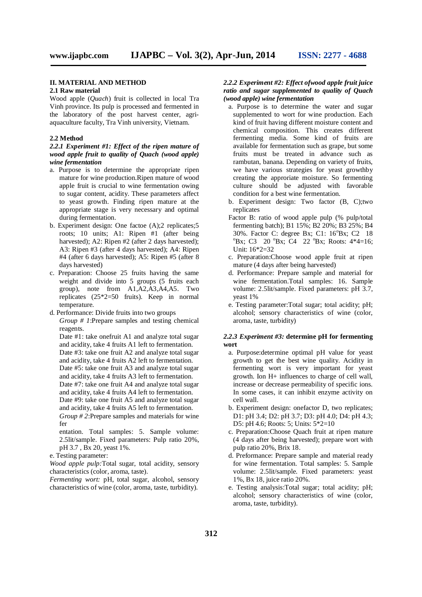#### **II. MATERIAL AND METHOD**

#### **2.1 Raw material**

Wood apple (*Quach*) fruit is collected in local Tra Vinh province. Its pulp is processed and fermented in the laboratory of the post harvest center, agriaquaculture faculty, Tra Vinh university, Vietnam.

#### **2.2 Method**

#### *2.2.1 Experiment #1: Effect of the ripen mature of wood apple fruit to quality of Quach (wood apple) wine fermentation*

- a. Purpose is to determine the appropriate ripen mature for wine production.Ripen mature of wood apple fruit is crucial to wine fermentation owing to sugar content, acidity. These parameters affect to yeast growth. Finding ripen mature at the appropriate stage is very necessary and optimal during fermentation.
- b. Experiment design: One factoe (A);2 replicates;5 roots; 10 units; A1: Ripen #1 (after being harvested); A2: Ripen #2 (after 2 days harvested); A3: Ripen #3 (after 4 days harvested); A4: Ripen #4 (after 6 days harvested); A5: Ripen #5 (after 8 days harvested)
- c. Preparation: Choose 25 fruits having the same weight and divide into 5 groups (5 fruits each group), note from A1,A2,A3,A4,A5. Two replicates (25\*2=50 fruits). Keep in normal temperature.
- d. Performance: Divide fruits into two groups *Group # 1*:Prepare samples and testing chemical reagents.

Date #1: take onefruit A1 and analyze total sugar and acidity, take 4 fruits A1 left to fermentation. Date #3: take one fruit A2 and analyze total sugar and acidity, take 4 fruits A2 left to fermentation. Date #5: take one fruit A3 and analyze total sugar and acidity, take 4 fruits A3 left to fermentation. Date #7: take one fruit A4 and analyze total sugar and acidity, take 4 fruits A4 left to fermentation. Date #9: take one fruit A5 and analyze total sugar and acidity, take 4 fruits A5 left to fermentation. *Group # 2*:Prepare samples and materials for wine fer

- entation. Total samples: 5. Sample volume: 2.5lit/sample. Fixed parameters: Pulp ratio 20%, pH 3.7 , Bx 20, yeast 1%.
- e. Testing parameter:

*Wood apple pulp:*Total sugar, total acidity, sensory characteristics (color, aroma, taste).

*Fermenting wort:* pH, total sugar, alcohol, sensory characteristics of wine (color, aroma, taste, turbidity).

#### *2.2.2 Experiment #2: Effect ofwood apple fruit juice ratio and sugar supplemented to quality of Quach (wood apple) wine fermentation*

- a. Purpose is to determine the water and sugar supplemented to wort for wine production. Each kind of fruit having different moisture content and chemical composition. This creates different fermenting media. Some kind of fruits are available for fermentation such as grape, but some fruits must be treated in advance such as rambutan, banana. Depending on variety of fruits, we have various strategies for yeast growthby creating the approriate moisture. So fermenting culture should be adjusted with favorable condition for a best wine fermentation.
- b. Experiment design: Two factor (B, C);two replicates
- Factor B: ratio of wood apple pulp (% pulp/total fermenting batch); B1 15%; B2 20%; B3 25%; B4 30%. Factor C: degree Bx; C1: 16<sup>o</sup>Bx; C2 18  ${}^{\circ}$ Bx; C3 20  ${}^{\circ}$ Bx; C4 22  ${}^{\circ}$ Bx; Roots: 4\*4=16; Unit: 16\*2=32
- c. Preparation:Choose wood apple fruit at ripen mature (4 days after being harvested)
- d. Performance: Prepare sample and material for wine fermentation.Total samples: 16. Sample volume: 2.5lit/sample. Fixed parameters: pH 3.7, yeast 1%
- e. Testing parameter:Total sugar; total acidity; pH; alcohol; sensory characteristics of wine (color, aroma, taste, turbidity)

#### *2.2.3 Experiment #3:* **determine pH for fermenting wort**

- a. Purpose:determine optimal pH value for yeast growth to get the best wine quality. Acidity in fermenting wort is very important for yeast growth. Ion H+ influences to charge of cell wall, increase or decrease permeability of specific ions. In some cases, it can inhibit enzyme activity on cell wall.
- b. Experiment design: onefactor D, two replicates; D1: pH 3.4; D2: pH 3.7; D3: pH 4.0; D4: pH 4.3; D5: pH 4.6; Roots: 5; Units: 5\*2=10
- c. Preparation:Choose Quach fruit at ripen mature (4 days after being harvested); prepare wort with pulp ratio 20%, Brix 18.
- d. Preformance: Prepare sample and material ready for wine fermentation. Total samples: 5. Sample volume: 2.5lit/sample. Fixed parameters: yeast 1%, Bx 18, juice ratio 20%.
- e. Testing analysis:Total sugar; total acidity; pH; alcohol; sensory characteristics of wine (color, aroma, taste, turbidity).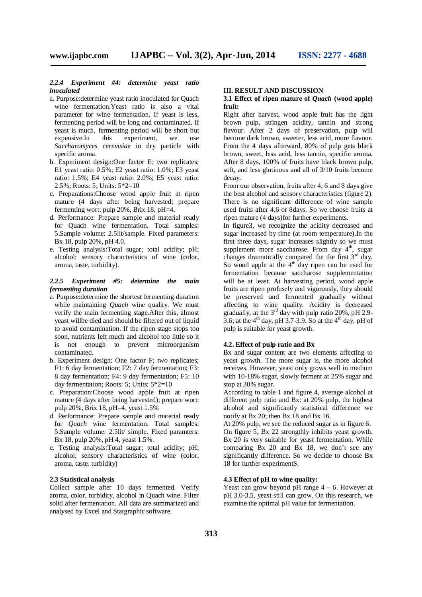#### *2.2.4 Experiment #4: determine yeast ratio inoculated*

- a. Purpose:determine yeast ratio inoculated for Quach wine fermentation.Yeast ratio is also a vital parameter for wine fermentation. If yeast is less, fermenting period will be long and contaminated. If yeast is much, fermenting period will be short but<br>expensive.In this experiment, we use expensive.In this experiment, we use *Saccharomyces cerevisiae* in dry particle with specific aroma.
- b. Experiment design:One factor E; two replicates; E1 yeast ratio: 0.5%; E2 yeast ratio: 1.0%; E3 yeast ratio: 1.5%; E4 yeast ratio: 2.0%; E5 yeast ratio: 2.5%; Roots: 5; Units: 5\*2=10
- c. Preparations:Choose wood apple fruit at ripen mature (4 days after being harvested; prepare fermenting wort: pulp 20%, Brix 18, pH=4.
- d. Performance: Prepare sample and material ready for Quach wine fermentation. Total samples: 5.Sample volume: 2.5lit/sample. Fixed parameters: Bx 18, pulp 20%, pH 4.0.
- e. Testing analysis:Total sugar; total acidity; pH; alcohol; sensory characteristics of wine (color, aroma, taste, turbidity).

#### *2.2.5 Experiment #5: determine the main fermenting duration*

- a. Purpose:determine the shortest fermenting duration while maintaining *Quach* wine quality. We must verify the main fermenting stage.After this, almost yeast willbe died and should be filtered out of liquid to avoid contamination. If the ripen stage stops too soon, nutrients left much and alcohol too little so it is not enough to prevent microorganism contaminated.
- b. Experiment design: One factor F; two replicates; F1: 6 day fermentation; F2: 7 day fermentation; F3: 8 day fermentation; F4: 9 day fermentation; F5: 10 day fermentation; Roots: 5; Units: 5\*2=10
- c. Preparation:Choose wood apple fruit at ripen mature (4 days after being harvested); prepare wort: pulp 20%, Brix 18, pH=4, yeast 1.5%
- d. Performance: Prepare sample and material ready for *Quach* wine fermentation. Total samples: 5.Sample volume: 2.5lit/ simple. Fixed paramters: Bx 18, pulp 20%, pH 4, yeast 1.5%.
- e. Testing analysis:Total sugar; total acidity; pH; alcohol; sensory characteristics of wine (color, aroma, taste, turbidity)

# **2.3 Statistical analysis**

Collect sample after 10 days fermented. Verify aroma, color, turbidity, alcohol in Quach wine. Filter solid after fermentation. All data are summarized and analysed by Excel and Statgraphic software.

#### **III. RESULT AND DISCUSSION**

#### **3.1 Effect of ripen mature of** *Quach* **(wood apple) fruit:**

Right after harvest, wood apple fruit has the light brown pulp, stringen acidity, tannin and strong flavour. After 2 days of preservation, pulp will become dark brown, sweeter, less acid, more flavour. From the 4 days afterward, 80% of pulp gets black brown, sweet, less acid, less tannin, specific aroma. After 8 days, 100% of fruits have black brown pulp, soft, and less glutinous and all of 3/10 fruits become decay.

From our observation, fruits after 4, 6 and 8 days give the best alcohol and sensory characteristics (figure 2). There is no significant difference of wine sample used fruits after 4,6 or 8days. So we choose fruits at ripen mature (4 days)for further experiments.

In figure3, we recognize the acidity decreased and sugar increased by time (at room temperature).In the first three days, sugar increases slightly so we must supplement more saccharose. From day 4<sup>th</sup>, sugar changes dramatically compared the the first  $3<sup>rd</sup>$  day. So wood apple at the  $4<sup>th</sup>$  day ripen can be used for fermentation because saccharose supplementation will be at least. At harvesting period, wood apple fruits are ripen profusely and vigorously, they should be preserved and fermented gradually without affecting to wine quality. Acidity is decreased gradually, at the 3rd day with pulp ratio 20%, pH 2.9- 3.6; at the  $4<sup>th</sup>$  day, pH 3.7-3.9. So at the  $4<sup>th</sup>$  day, pH of pulp is suitable for yeast growth.

#### **4.2. Effect of pulp ratio and Bx**

Bx and sugar content are two elements affecting to yeast growth. The more sugar is, the more alcohol receives. However, yeast only grows well in medium with 10-18% sugar, slowly ferment at 25% sugar and stop at 30% sugar.

According to table 1 and figure 4, average alcohol at different pulp ratio and Bx: at 20% pulp, the highest alcohol and significantly statistical difference we notify at Bx 20; then Bx 18 and Bx 16.

At 20% pulp, we see the reduced sugar as in figure 6. On figure 5, Bx 22 strongthly inhibits yeast growth. Bx 20 is very suitable for yeast fermentation. While comparing Bx 20 and Bx 18, we don't see any significantly difference. So we decide to choose Bx 18 for further experimentS.

#### **4.3 Effect of pH to wine quality:**

Yeast can grow beyond pH range  $4 - 6$ . However at pH 3.0-3.5, yeast still can grow. On this research, we examine the optimal pH value for fermentation.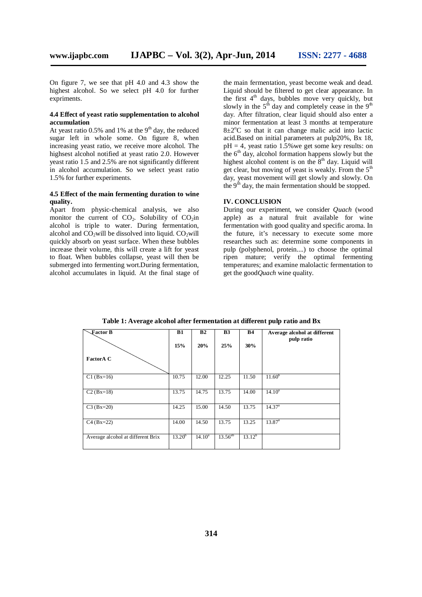On figure 7, we see that pH 4.0 and 4.3 show the highest alcohol. So we select pH 4.0 for further expriments.

#### **4.4 Effect of yeast ratio supplementation to alcohol accumulation**

At yeast ratio  $0.5\%$  and 1% at the 9<sup>th</sup> day, the reduced sugar left in whole some. On figure 8, when increasing yeast ratio, we receive more alcohol. The highsest alcohol notified at yeast ratio 2.0. However yeast ratio 1.5 and 2.5% are not significantly different in alcohol accumulation. So we select yeast ratio 1.5% for further experiments.

## **4.5 Effect of the main fermenting duration to wine quality.**

Apart from physic-chemical analysis, we also monitor the current of  $CO<sub>2</sub>$ . Solubility of  $CO<sub>2</sub>$ in alcohol is triple to water. During fermentation, alcohol and  $CO<sub>2</sub>$ will be dissolved into liquid.  $CO<sub>2</sub>$ will quickly absorb on yeast surface. When these bubbles increase their volume, this will create a lift for yeast to float. When bubbles collapse, yeast will then be submerged into fermenting wort.During fermentation, alcohol accumulates in liquid. At the final stage of

the main fermentation, yeast become weak and dead. Liquid should be filtered to get clear appearance. In the first  $4<sup>th</sup>$  days, bubbles move very quickly, but slowly in the  $5<sup>th</sup>$  day and completely cease in the  $9<sup>th</sup>$ day. After filtration, clear liquid should also enter a minor fermentation at least  $\overline{3}$  months at temperature  $8\pm2\degree$ C so that it can change malic acid into lactic acid.Based on initial parameters at pulp20%, Bx 18,  $pH = 4$ , yeast ratio 1.5% we get some key results: on the  $6<sup>th</sup>$  day, alcohol formation happens slowly but the highest alcohol content is on the  $8<sup>th</sup>$  day. Liquid will get clear, but moving of yeast is weakly. From the  $5<sup>th</sup>$ day, yeast movement will get slowly and slowly. On the  $9<sup>th</sup>$  day, the main fermentation should be stopped.

# **IV. CONCLUSION**

During our experiment, we consider *Quach* (wood apple) as a natural fruit available for wine fermentation with good quality and specific aroma. In the future, it's necessary to execute some more researches such as: determine some components in pulp (polyphenol, protein....) to choose the optimal ripen mature; verify the optimal fermenting temperatures; and examine malolactic fermentation to get the good*Quach* wine quality.

| $\sqrt{2}$ actor B                | <b>B1</b>   | B <sub>2</sub> | B <sub>3</sub> | <b>B4</b>   | Average alcohol at different<br>pulp ratio |
|-----------------------------------|-------------|----------------|----------------|-------------|--------------------------------------------|
|                                   | 15%         | 20%            | 25%            | 30%         |                                            |
| <b>FactorA C</b>                  |             |                |                |             |                                            |
| $C1 (Bx=16)$                      | 10.75       | 12.00          | 12.25          | 11.50       | $11.60^{b}$                                |
| $C2 (Bx=18)$                      | 13.75       | 14.75          | 13.75          | 14.00       | $14.10^{a}$                                |
| $C3 (Bx=20)$                      | 14.25       | 15.00          | 14.50          | 13.75       | 14.37 <sup>a</sup>                         |
| $C4 (Bx=22)$                      | 14.00       | 14.50          | 13.75          | 13.25       | $13.87^{\circ}$                            |
| Average alcohol at different Brix | $13.20^{b}$ | $14.10^a$      | $13.56^{ab}$   | $13.12^{b}$ |                                            |

**Table 1: Average alcohol after fermentation at different pulp ratio and Bx**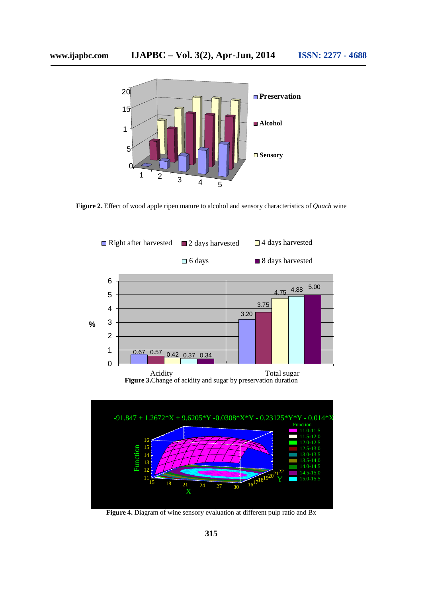

**Figure 2.** Effect of wood apple ripen mature to alcohol and sensory characteristics of *Quach* wine





**Figure 4.** Diagram of wine sensory evaluation at different pulp ratio and Bx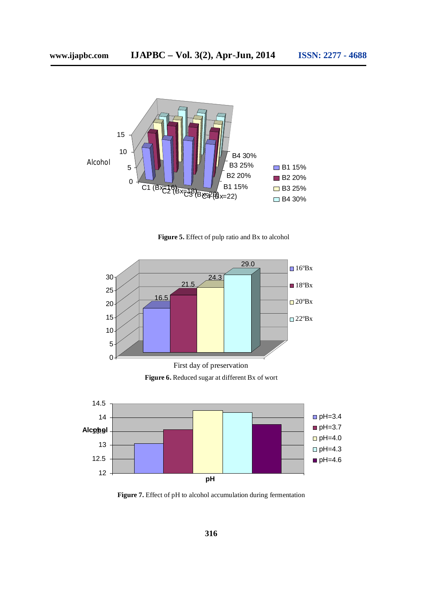

**Figure 5.** Effect of pulp ratio and Bx to alcohol



**Figure 6.** Reduced sugar at different Bx of wort



Figure 7. Effect of pH to alcohol accumulation during fermentation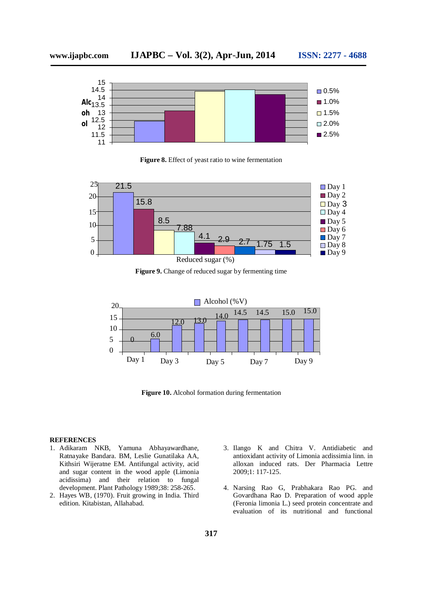

**Figure 8.** Effect of yeast ratio to wine fermentation



**Figure 9.** Change of reduced sugar by fermenting time



**Figure 10.** Alcohol formation during fermentation

# **REFERENCES**

- 1. Adikaram NKB, Yamuna Abhayawardhane, Ratnayake Bandara. BM, Leslie Gunatilaka AA, Kithsiri Wijeratne EM. Antifungal activity, acid and sugar content in the wood apple (Limonia acidissima) and their relation to fungal development. Plant Pathology 1989;38: 258-265.
- 2. Hayes WB, (1970). Fruit growing in India. Third edition. Kitabistan, Allahabad.
- 3. Ilango K and Chitra V. Antidiabetic and antioxidant activity of Limonia acdissimia linn. in alloxan induced rats. Der Pharmacia Lettre 2009;1: 117-125.
- 4. Narsing Rao G, Prabhakara Rao PG. and Govardhana Rao D. Preparation of wood apple (Feronia limonia L.) seed protein concentrate and evaluation of its nutritional and functional